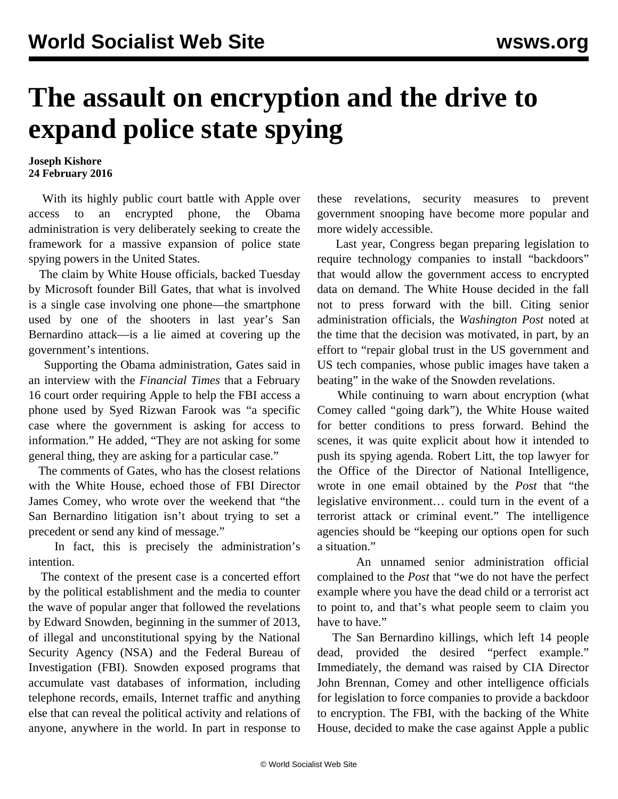## **The assault on encryption and the drive to expand police state spying**

## **Joseph Kishore 24 February 2016**

 With its highly public court battle with Apple over access to an encrypted phone, the Obama administration is very deliberately seeking to create the framework for a massive expansion of police state spying powers in the United States.

 The claim by White House officials, backed Tuesday by Microsoft founder Bill Gates, that what is involved is a single case involving one phone—the smartphone used by one of the shooters in last year's San Bernardino attack—is a lie aimed at covering up the government's intentions.

 Supporting the Obama administration, Gates said in an interview with the *Financial Times* that a February 16 court order requiring Apple to help the FBI access a phone used by Syed Rizwan Farook was "a specific case where the government is asking for access to information." He added, "They are not asking for some general thing, they are asking for a particular case."

 The comments of Gates, who has the closest relations with the White House, echoed those of FBI Director James Comey, who wrote over the weekend that "the San Bernardino litigation isn't about trying to set a precedent or send any kind of message."

 In fact, this is precisely the administration's intention.

 The context of the present case is a concerted effort by the political establishment and the media to counter the wave of popular anger that followed the revelations by Edward Snowden, beginning in the summer of 2013, of illegal and unconstitutional spying by the National Security Agency (NSA) and the Federal Bureau of Investigation (FBI). Snowden exposed programs that accumulate vast databases of information, including telephone records, emails, Internet traffic and anything else that can reveal the political activity and relations of anyone, anywhere in the world. In part in response to

these revelations, security measures to prevent government snooping have become more popular and more widely accessible.

 Last year, Congress began preparing legislation to require technology companies to install "backdoors" that would allow the government access to encrypted data on demand. The White House decided in the fall not to press forward with the bill. Citing senior administration officials, the *Washington Post* noted at the time that the decision was motivated, in part, by an effort to "repair global trust in the US government and US tech companies, whose public images have taken a beating" in the wake of the Snowden revelations.

 While continuing to warn about encryption (what Comey called "going dark"), the White House waited for better conditions to press forward. Behind the scenes, it was quite explicit about how it intended to push its spying agenda. Robert Litt, the top lawyer for the Office of the Director of National Intelligence, wrote in one email obtained by the *Post* that "the legislative environment… could turn in the event of a terrorist attack or criminal event." The intelligence agencies should be "keeping our options open for such a situation."

 An unnamed senior administration official complained to the *Post* that "we do not have the perfect example where you have the dead child or a terrorist act to point to, and that's what people seem to claim you have to have."

 The San Bernardino killings, which left 14 people dead, provided the desired "perfect example." Immediately, the demand was raised by CIA Director John Brennan, Comey and other intelligence officials for legislation to force companies to provide a backdoor to encryption. The FBI, with the backing of the White House, decided to make the case against Apple a public